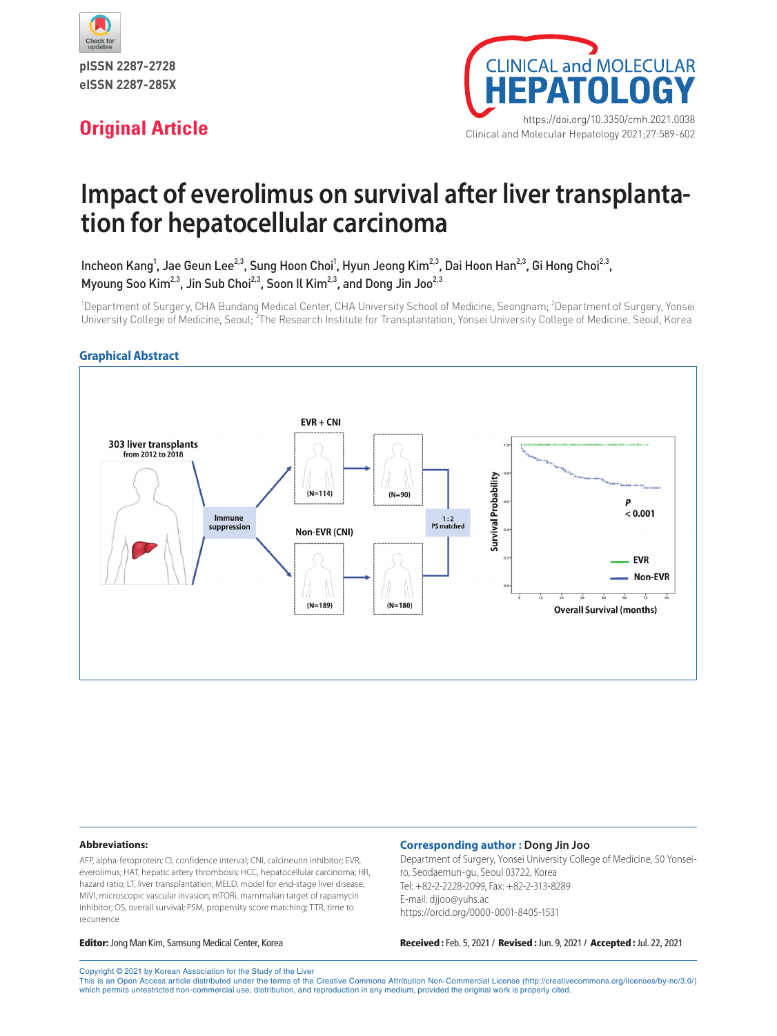



# **Impact of everolimus on survival after liver transplantation for hepatocellular carcinoma**

Incheon Kang<sup>1</sup>, Jae Geun Lee<sup>2,3</sup>, Sung Hoon Choi<sup>1</sup>, Hyun Jeong Kim<sup>2,3</sup>, Dai Hoon Han<sup>2,3</sup>, Gi Hong Choi<sup>2,3</sup>, Myoung Soo Kim<sup>2,3</sup>, Jin Sub Choi<sup>2,3</sup>, Soon Il Kim<sup>2,3</sup>, and Dong Jin Joo<sup>2,3</sup>

<sup>1</sup>Department of Surgery, CHA Bundang Medical Center, CHA University School of Medicine, Seongnam; <sup>2</sup>Department of Surgery, Yonsei University College of Medicine, Seoul; <sup>3</sup>The Research Institute for Transplantation, Yonsei University College of Medicine, Seoul, Korea

#### **Graphical Abstract**



#### **Abbreviations:**

AFP, alpha-fetoprotein; CI, confidence interval; CNI, calcineurin inhibitor; EVR, everolimus; HAT, hepatic artery thrombosis; HCC, hepatocellular carcinoma; HR, hazard ratio; LT, liver transplantation; MELD, model for end-stage liver disease; MiVI, microscopic vascular invasion; mTORi, mammalian target of rapamycin inhibitor; OS, overall survival; PSM, propensity score matching; TTR, time to recurrence

#### **Corresponding author : Dong Jin Joo**

Department of Surgery, Yonsei University College of Medicine, 50 Yonseiro, Seodaemun-gu, Seoul 03722, Korea Tel: +82-2-2228-2099, Fax: +82-2-313-8289 E-mail: djjoo@yuhs.ac https://orcid.org/0000-0001-8405-1531

Editor: Jong Man Kim, Samsung Medical Center, Korea Received : Feb. 5, 2021 / Revised : Jun. 9, 2021 / Accepted : Jul. 22, 2021

Copyright © 2021 by Korean Association for the Study of the Liver This is an Open Access article distributed under the terms of the Creative Commons Attribution Non-Commercial License (http://creativecommons.org/licenses/by-nc/3.0/) which permits unrestricted non-commercial use, distribution, and reproduction in any medium, provided the original work is properly cited.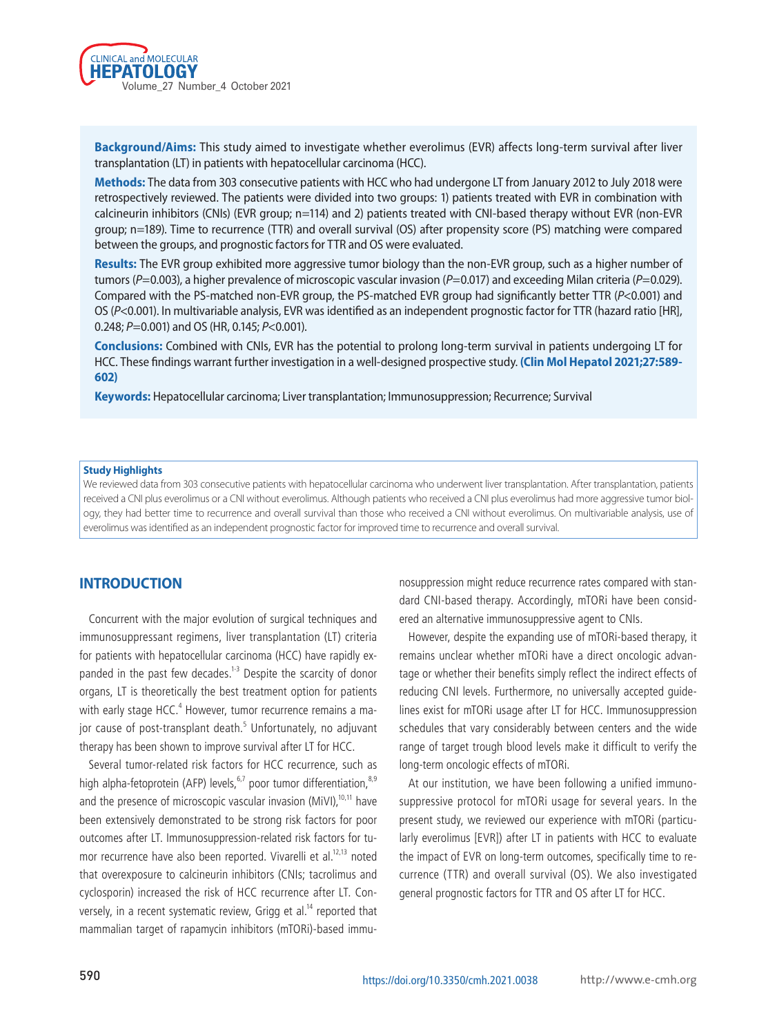

**Background/Aims:** This study aimed to investigate whether everolimus (EVR) affects long-term survival after liver transplantation (LT) in patients with hepatocellular carcinoma (HCC).

**Methods:** The data from 303 consecutive patients with HCC who had undergone LT from January 2012 to July 2018 were retrospectively reviewed. The patients were divided into two groups: 1) patients treated with EVR in combination with calcineurin inhibitors (CNIs) (EVR group; n=114) and 2) patients treated with CNI-based therapy without EVR (non-EVR group; n=189). Time to recurrence (TTR) and overall survival (OS) after propensity score (PS) matching were compared between the groups, and prognostic factors for TTR and OS were evaluated.

**Results:** The EVR group exhibited more aggressive tumor biology than the non-EVR group, such as a higher number of tumors (*P*=0.003), a higher prevalence of microscopic vascular invasion (*P*=0.017) and exceeding Milan criteria (*P*=0.029). Compared with the PS-matched non-EVR group, the PS-matched EVR group had significantly better TTR (*P*<0.001) and OS (*P*<0.001). In multivariable analysis, EVR was identified as an independent prognostic factor for TTR (hazard ratio [HR], 0.248; *P*=0.001) and OS (HR, 0.145; *P*<0.001).

**Conclusions:** Combined with CNIs, EVR has the potential to prolong long-term survival in patients undergoing LT for HCC. These findings warrant further investigation in a well-designed prospective study. **(Clin Mol Hepatol 2021;27:589- 602)**

**Keywords:** Hepatocellular carcinoma; Liver transplantation; Immunosuppression; Recurrence; Survival

#### **Study Highlights**

We reviewed data from 303 consecutive patients with hepatocellular carcinoma who underwent liver transplantation. After transplantation, patients received a CNI plus everolimus or a CNI without everolimus. Although patients who received a CNI plus everolimus had more aggressive tumor biology, they had better time to recurrence and overall survival than those who received a CNI without everolimus. On multivariable analysis, use of everolimus was identified as an independent prognostic factor for improved time to recurrence and overall survival.

#### **INTRODUCTION**

Concurrent with the major evolution of surgical techniques and immunosuppressant regimens, liver transplantation (LT) criteria for patients with hepatocellular carcinoma (HCC) have rapidly expanded in the past few decades.<sup>1-3</sup> Despite the scarcity of donor organs, LT is theoretically the best treatment option for patients with early stage HCC. $^4$  However, tumor recurrence remains a major cause of post-transplant death.<sup>5</sup> Unfortunately, no adjuvant therapy has been shown to improve survival after LT for HCC.

Several tumor-related risk factors for HCC recurrence, such as high alpha-fetoprotein (AFP) levels,  $6,7$  poor tumor differentiation,  $8,9$ and the presence of microscopic vascular invasion (MiVI), $10,11$  have been extensively demonstrated to be strong risk factors for poor outcomes after LT. Immunosuppression-related risk factors for tumor recurrence have also been reported. Vivarelli et al.<sup>12,13</sup> noted that overexposure to calcineurin inhibitors (CNIs; tacrolimus and cyclosporin) increased the risk of HCC recurrence after LT. Conversely, in a recent systematic review, Grigg et al.<sup>14</sup> reported that mammalian target of rapamycin inhibitors (mTORi)-based immunosuppression might reduce recurrence rates compared with standard CNI-based therapy. Accordingly, mTORi have been considered an alternative immunosuppressive agent to CNIs.

However, despite the expanding use of mTORi-based therapy, it remains unclear whether mTORi have a direct oncologic advantage or whether their benefits simply reflect the indirect effects of reducing CNI levels. Furthermore, no universally accepted guidelines exist for mTORi usage after LT for HCC. Immunosuppression schedules that vary considerably between centers and the wide range of target trough blood levels make it difficult to verify the long-term oncologic effects of mTORi.

At our institution, we have been following a unified immunosuppressive protocol for mTORi usage for several years. In the present study, we reviewed our experience with mTORi (particularly everolimus [EVR]) after LT in patients with HCC to evaluate the impact of EVR on long-term outcomes, specifically time to recurrence (TTR) and overall survival (OS). We also investigated general prognostic factors for TTR and OS after LT for HCC.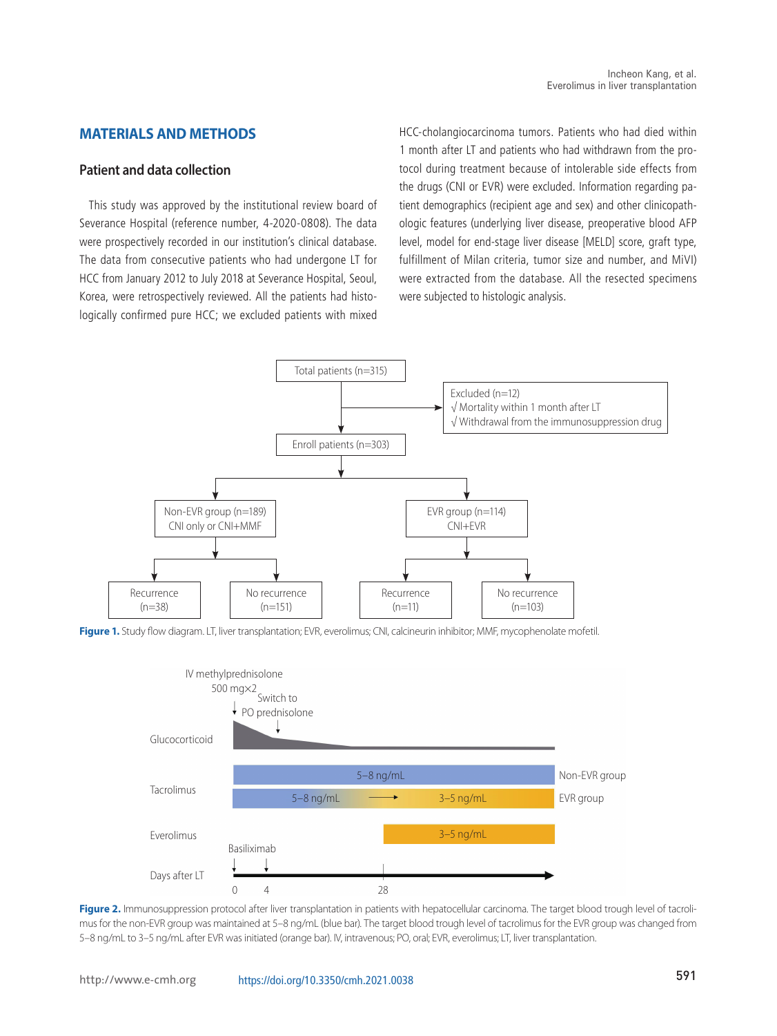# **MATERIALS AND METHODS**

#### **Patient and data collection**

This study was approved by the institutional review board of Severance Hospital (reference number, 4-2020-0808). The data were prospectively recorded in our institution's clinical database. The data from consecutive patients who had undergone LT for HCC from January 2012 to July 2018 at Severance Hospital, Seoul, Korea, were retrospectively reviewed. All the patients had histologically confirmed pure HCC; we excluded patients with mixed HCC-cholangiocarcinoma tumors. Patients who had died within 1 month after LT and patients who had withdrawn from the protocol during treatment because of intolerable side effects from the drugs (CNI or EVR) were excluded. Information regarding patient demographics (recipient age and sex) and other clinicopathologic features (underlying liver disease, preoperative blood AFP level, model for end-stage liver disease [MELD] score, graft type, fulfillment of Milan criteria, tumor size and number, and MiVI) were extracted from the database. All the resected specimens were subjected to histologic analysis.



Figure 1. Study flow diagram. LT, liver transplantation; EVR, everolimus; CNI, calcineurin inhibitor; MMF, mycophenolate mofetil.



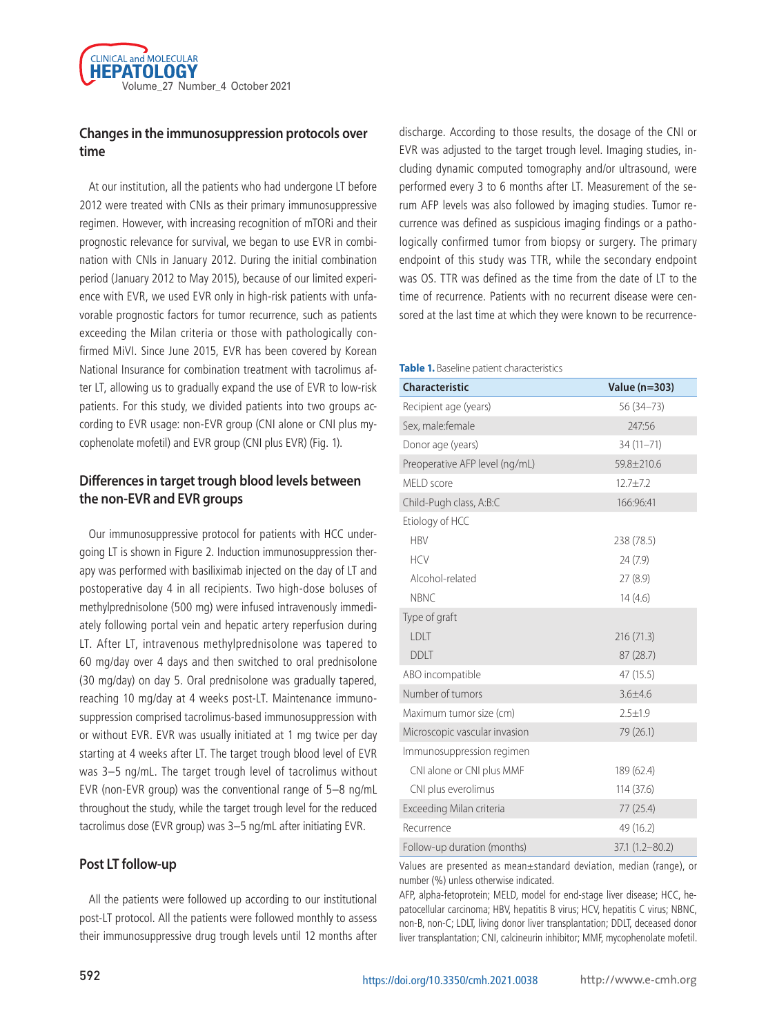

### **Changes in the immunosuppression protocols over time**

At our institution, all the patients who had undergone LT before 2012 were treated with CNIs as their primary immunosuppressive regimen. However, with increasing recognition of mTORi and their prognostic relevance for survival, we began to use EVR in combination with CNIs in January 2012. During the initial combination period (January 2012 to May 2015), because of our limited experience with EVR, we used EVR only in high-risk patients with unfavorable prognostic factors for tumor recurrence, such as patients exceeding the Milan criteria or those with pathologically confirmed MiVI. Since June 2015, EVR has been covered by Korean National Insurance for combination treatment with tacrolimus after LT, allowing us to gradually expand the use of EVR to low-risk patients. For this study, we divided patients into two groups according to EVR usage: non-EVR group (CNI alone or CNI plus mycophenolate mofetil) and EVR group (CNI plus EVR) (Fig. 1).

# **Differences in target trough blood levels between the non-EVR and EVR groups**

Our immunosuppressive protocol for patients with HCC undergoing LT is shown in Figure 2. Induction immunosuppression therapy was performed with basiliximab injected on the day of LT and postoperative day 4 in all recipients. Two high-dose boluses of methylprednisolone (500 mg) were infused intravenously immediately following portal vein and hepatic artery reperfusion during LT. After LT, intravenous methylprednisolone was tapered to 60 mg/day over 4 days and then switched to oral prednisolone (30 mg/day) on day 5. Oral prednisolone was gradually tapered, reaching 10 mg/day at 4 weeks post-LT. Maintenance immunosuppression comprised tacrolimus-based immunosuppression with or without EVR. EVR was usually initiated at 1 mg twice per day starting at 4 weeks after LT. The target trough blood level of EVR was 3–5 ng/mL. The target trough level of tacrolimus without EVR (non-EVR group) was the conventional range of 5–8 ng/mL throughout the study, while the target trough level for the reduced tacrolimus dose (EVR group) was 3–5 ng/mL after initiating EVR.

#### **Post LT follow-up**

All the patients were followed up according to our institutional post-LT protocol. All the patients were followed monthly to assess their immunosuppressive drug trough levels until 12 months after

discharge. According to those results, the dosage of the CNI or EVR was adjusted to the target trough level. Imaging studies, including dynamic computed tomography and/or ultrasound, were performed every 3 to 6 months after LT. Measurement of the serum AFP levels was also followed by imaging studies. Tumor recurrence was defined as suspicious imaging findings or a pathologically confirmed tumor from biopsy or surgery. The primary endpoint of this study was TTR, while the secondary endpoint was OS. TTR was defined as the time from the date of LT to the time of recurrence. Patients with no recurrent disease were censored at the last time at which they were known to be recurrence-

#### **Table 1.** Baseline patient characteristics

| <b>Characteristic</b>          | Value (n=303)      |
|--------------------------------|--------------------|
| Recipient age (years)          | 56 (34 - 73)       |
| Sex, male: female              | 247:56             |
| Donor age (years)              | 34 (11-71)         |
| Preoperative AFP level (ng/mL) | 59.8±210.6         |
| MELD score                     | $12.7 + 7.2$       |
| Child-Pugh class, A:B:C        | 166:96:41          |
| Etiology of HCC                |                    |
| <b>HBV</b>                     | 238 (78.5)         |
| <b>HCV</b>                     | 24 (7.9)           |
| Alcohol-related                | 27(8.9)            |
| <b>NBNC</b>                    | 14(4.6)            |
| Type of graft                  |                    |
| LDLT                           | 216 (71.3)         |
| <b>DDLT</b>                    | 87(28.7)           |
| ABO incompatible               | 47 (15.5)          |
| Number of tumors               | $3.6 + 4.6$        |
| Maximum tumor size (cm)        | $2.5 \pm 1.9$      |
| Microscopic vascular invasion  | 79 (26.1)          |
| Immunosuppression regimen      |                    |
| CNI alone or CNI plus MMF      | 189 (62.4)         |
| CNI plus everolimus            | 114 (37.6)         |
| Exceeding Milan criteria       | 77 (25.4)          |
| Recurrence                     | 49 (16.2)          |
| Follow-up duration (months)    | $37.1(1.2 - 80.2)$ |

Values are presented as mean±standard deviation, median (range), or number (%) unless otherwise indicated.

AFP, alpha-fetoprotein; MELD, model for end-stage liver disease; HCC, hepatocellular carcinoma; HBV, hepatitis B virus; HCV, hepatitis C virus; NBNC, non-B, non-C; LDLT, living donor liver transplantation; DDLT, deceased donor liver transplantation; CNI, calcineurin inhibitor; MMF, mycophenolate mofetil.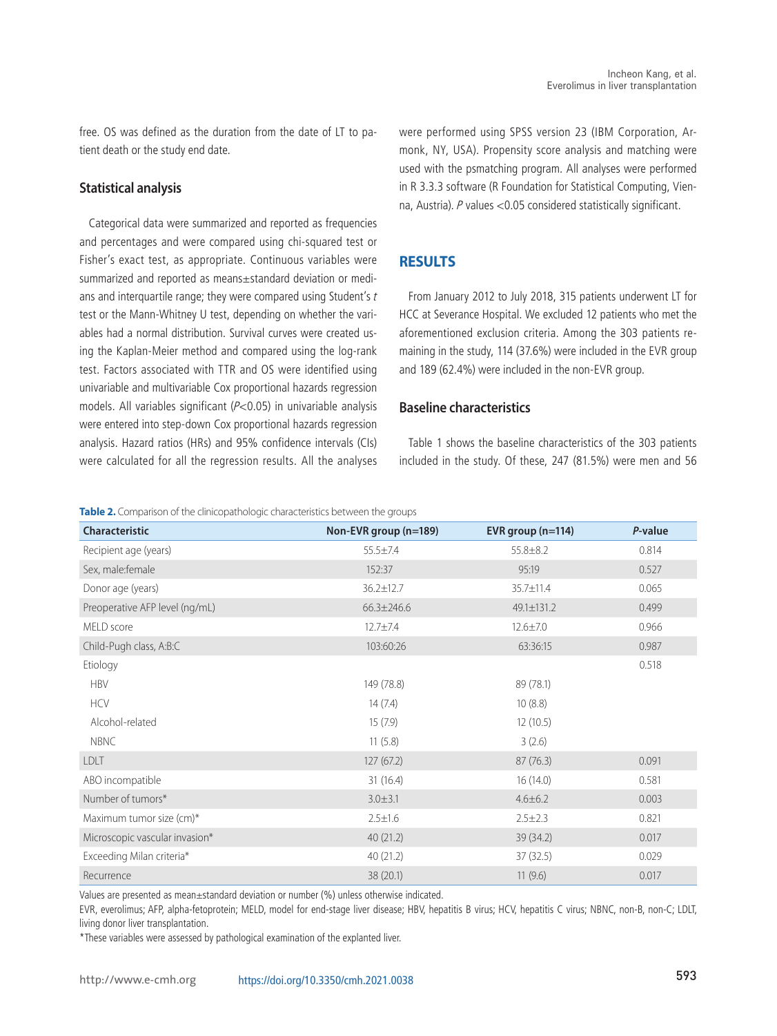free. OS was defined as the duration from the date of LT to patient death or the study end date.

#### **Statistical analysis**

Categorical data were summarized and reported as frequencies and percentages and were compared using chi-squared test or Fisher's exact test, as appropriate. Continuous variables were summarized and reported as means±standard deviation or medians and interquartile range; they were compared using Student's  $t$ test or the Mann-Whitney U test, depending on whether the variables had a normal distribution. Survival curves were created using the Kaplan-Meier method and compared using the log-rank test. Factors associated with TTR and OS were identified using univariable and multivariable Cox proportional hazards regression models. All variables significant (P<0.05) in univariable analysis were entered into step-down Cox proportional hazards regression analysis. Hazard ratios (HRs) and 95% confidence intervals (CIs) were calculated for all the regression results. All the analyses were performed using SPSS version 23 (IBM Corporation, Armonk, NY, USA). Propensity score analysis and matching were used with the psmatching program. All analyses were performed in R 3.3.3 software (R Foundation for Statistical Computing, Vienna, Austria). P values <0.05 considered statistically significant.

#### **RESULTS**

From January 2012 to July 2018, 315 patients underwent LT for HCC at Severance Hospital. We excluded 12 patients who met the aforementioned exclusion criteria. Among the 303 patients remaining in the study, 114 (37.6%) were included in the EVR group and 189 (62.4%) were included in the non-EVR group.

#### **Baseline characteristics**

Table 1 shows the baseline characteristics of the 303 patients included in the study. Of these, 247 (81.5%) were men and 56

**Table 2.** Comparison of the clinicopathologic characteristics between the groups

| Characteristic                 | Non-EVR group (n=189) | EVR group (n=114) | P-value |
|--------------------------------|-----------------------|-------------------|---------|
| Recipient age (years)          | $55.5 \pm 7.4$        | $55.8 \pm 8.2$    | 0.814   |
| Sex, male: female              | 152:37                | 95:19             | 0.527   |
| Donor age (years)              | 36.2±12.7             | 35.7±11.4         | 0.065   |
| Preoperative AFP level (ng/mL) | $66.3 \pm 246.6$      | 49.1±131.2        | 0.499   |
| MELD score                     | $12.7 \pm 7.4$        | $12.6 \pm 7.0$    | 0.966   |
| Child-Pugh class, A:B:C        | 103:60:26             | 63:36:15          | 0.987   |
| Etiology                       |                       |                   | 0.518   |
| <b>HBV</b>                     | 149 (78.8)            | 89 (78.1)         |         |
| <b>HCV</b>                     | 14(7.4)               | 10(8.8)           |         |
| Alcohol-related                | 15(7.9)               | 12(10.5)          |         |
| <b>NBNC</b>                    | 11(5.8)               | 3(2.6)            |         |
| <b>LDLT</b>                    | 127(67.2)             | 87(76.3)          | 0.091   |
| ABO incompatible               | 31 (16.4)             | 16(14.0)          | 0.581   |
| Number of tumors*              | $3.0 + 3.1$           | $4.6 \pm 6.2$     | 0.003   |
| Maximum tumor size (cm)*       | $2.5 \pm 1.6$         | $2.5 \pm 2.3$     | 0.821   |
| Microscopic vascular invasion* | 40(21.2)              | 39 (34.2)         | 0.017   |
| Exceeding Milan criteria*      | 40(21.2)              | 37(32.5)          | 0.029   |
| Recurrence                     | 38 (20.1)             | 11(9.6)           | 0.017   |

Values are presented as mean±standard deviation or number (%) unless otherwise indicated.

EVR, everolimus; AFP, alpha-fetoprotein; MELD, model for end-stage liver disease; HBV, hepatitis B virus; HCV, hepatitis C virus; NBNC, non-B, non-C; LDLT, living donor liver transplantation.

\*These variables were assessed by pathological examination of the explanted liver.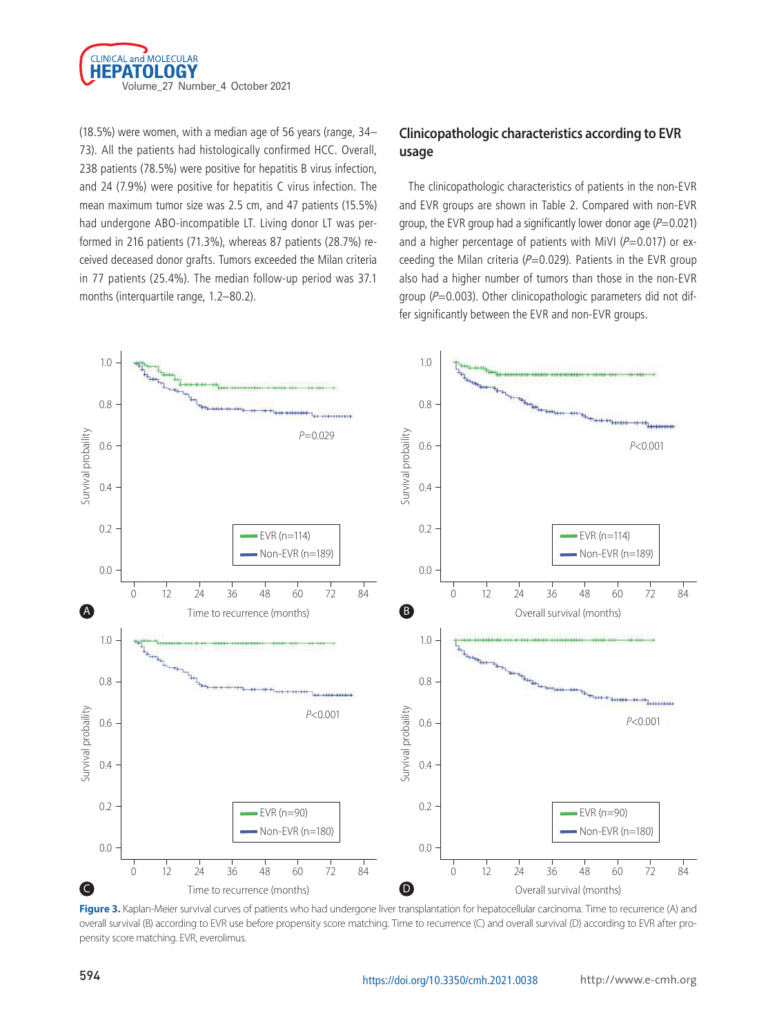

(18.5%) were women, with a median age of 56 years (range, 34– 73). All the patients had histologically confirmed HCC. Overall, 238 patients (78.5%) were positive for hepatitis B virus infection, and 24 (7.9%) were positive for hepatitis C virus infection. The mean maximum tumor size was 2.5 cm, and 47 patients (15.5%) had undergone ABO-incompatible LT. Living donor LT was performed in 216 patients (71.3%), whereas 87 patients (28.7%) received deceased donor grafts. Tumors exceeded the Milan criteria in 77 patients (25.4%). The median follow-up period was 37.1 months (interquartile range, 1.2–80.2).

# **Clinicopathologic characteristics according to EVR usage**

The clinicopathologic characteristics of patients in the non-EVR and EVR groups are shown in Table 2. Compared with non-EVR group, the EVR group had a significantly lower donor age  $(P=0.021)$ and a higher percentage of patients with MiVI ( $P=0.017$ ) or exceeding the Milan criteria ( $P=0.029$ ). Patients in the EVR group also had a higher number of tumors than those in the non-EVR group ( $P=0.003$ ). Other clinicopathologic parameters did not differ significantly between the EVR and non-EVR groups.



Figure 3. Kaplan-Meier survival curves of patients who had undergone liver transplantation for hepatocellular carcinoma. Time to recurrence (A) and overall survival (B) according to EVR use before propensity score matching. Time to recurrence (C) and overall survival (D) according to EVR after propensity score matching. EVR, everolimus.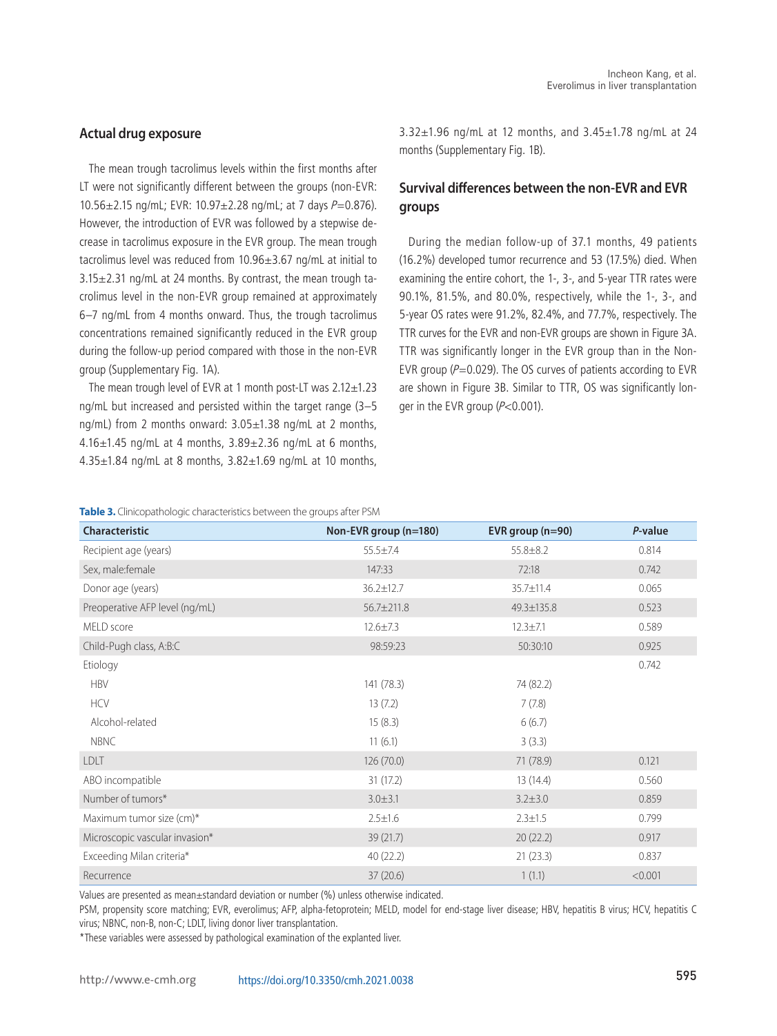#### **Actual drug exposure**

The mean trough tacrolimus levels within the first months after LT were not significantly different between the groups (non-EVR:  $10.56 \pm 2.15$  ng/mL; EVR:  $10.97 \pm 2.28$  ng/mL; at 7 days  $P=0.876$ ). However, the introduction of EVR was followed by a stepwise decrease in tacrolimus exposure in the EVR group. The mean trough tacrolimus level was reduced from 10.96±3.67 ng/mL at initial to  $3.15\pm2.31$  ng/mL at 24 months. By contrast, the mean trough tacrolimus level in the non-EVR group remained at approximately 6–7 ng/mL from 4 months onward. Thus, the trough tacrolimus concentrations remained significantly reduced in the EVR group during the follow-up period compared with those in the non-EVR group (Supplementary Fig. 1A).

The mean trough level of EVR at 1 month post-LT was 2.12±1.23 ng/mL but increased and persisted within the target range (3–5 ng/mL) from 2 months onward: 3.05±1.38 ng/mL at 2 months,  $4.16\pm1.45$  ng/mL at 4 months,  $3.89\pm2.36$  ng/mL at 6 months, 4.35±1.84 ng/mL at 8 months, 3.82±1.69 ng/mL at 10 months, 3.32±1.96 ng/mL at 12 months, and 3.45±1.78 ng/mL at 24 months (Supplementary Fig. 1B).

# **Survival differences between the non-EVR and EVR groups**

During the median follow-up of 37.1 months, 49 patients (16.2%) developed tumor recurrence and 53 (17.5%) died. When examining the entire cohort, the 1-, 3-, and 5-year TTR rates were 90.1%, 81.5%, and 80.0%, respectively, while the 1-, 3-, and 5-year OS rates were 91.2%, 82.4%, and 77.7%, respectively. The TTR curves for the EVR and non-EVR groups are shown in Figure 3A. TTR was significantly longer in the EVR group than in the Non-EVR group ( $P=0.029$ ). The OS curves of patients according to EVR are shown in Figure 3B. Similar to TTR, OS was significantly longer in the EVR group (P<0.001).

**Table 3.** Clinicopathologic characteristics between the groups after PSM

| <b>Characteristic</b>          | Non-EVR group (n=180) | EVR group $(n=90)$ | P-value |
|--------------------------------|-----------------------|--------------------|---------|
| Recipient age (years)          | $55.5 \pm 7.4$        | $55.8 \pm 8.2$     | 0.814   |
| Sex, male: female              | 147:33                | 72:18              | 0.742   |
| Donor age (years)              | 36.2±12.7             | 35.7±11.4          | 0.065   |
| Preoperative AFP level (ng/mL) | 56.7±211.8            | 49.3±135.8         | 0.523   |
| MELD score                     | $12.6 \pm 7.3$        | $12.3 \pm 7.1$     | 0.589   |
| Child-Pugh class, A:B:C        | 98:59:23<br>50:30:10  |                    | 0.925   |
| Etiology                       |                       |                    | 0.742   |
| <b>HBV</b>                     | 141 (78.3)            | 74 (82.2)          |         |
| <b>HCV</b>                     | 13(7.2)               | 7(7.8)             |         |
| Alcohol-related                | 15(8.3)               | 6(6.7)             |         |
| <b>NBNC</b>                    | 11(6.1)               | 3(3.3)             |         |
| <b>LDLT</b>                    | 126(70.0)             | 71 (78.9)          | 0.121   |
| ABO incompatible               | 31(17.2)              | 13 (14.4)          | 0.560   |
| Number of tumors*              | $3.0 + 3.1$           | $3.2 \pm 3.0$      | 0.859   |
| Maximum tumor size (cm)*       | $2.5 \pm 1.6$         | $2.3 \pm 1.5$      | 0.799   |
| Microscopic vascular invasion* | 39(21.7)              | 20(22.2)           | 0.917   |
| Exceeding Milan criteria*      | 40(22.2)<br>21(23.3)  |                    | 0.837   |
| Recurrence                     | 37(20.6)              | 1(1.1)             | < 0.001 |

Values are presented as mean±standard deviation or number (%) unless otherwise indicated.

PSM, propensity score matching; EVR, everolimus; AFP, alpha-fetoprotein; MELD, model for end-stage liver disease; HBV, hepatitis B virus; HCV, hepatitis C virus; NBNC, non-B, non-C; LDLT, living donor liver transplantation.

\*These variables were assessed by pathological examination of the explanted liver.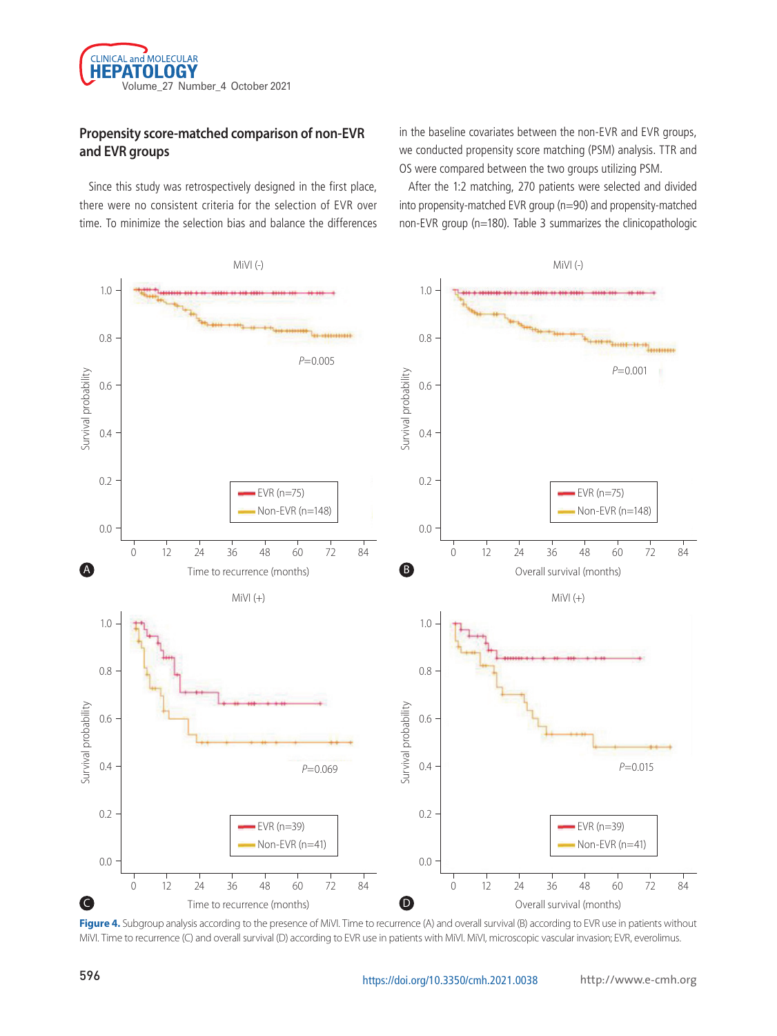

# **Propensity score-matched comparison of non-EVR and EVR groups**

Since this study was retrospectively designed in the first place, there were no consistent criteria for the selection of EVR over time. To minimize the selection bias and balance the differences in the baseline covariates between the non-EVR and EVR groups, we conducted propensity score matching (PSM) analysis. TTR and OS were compared between the two groups utilizing PSM.

After the 1:2 matching, 270 patients were selected and divided into propensity-matched EVR group (n=90) and propensity-matched non-EVR group (n=180). Table 3 summarizes the clinicopathologic



Figure 4. Subgroup analysis according to the presence of MiVI. Time to recurrence (A) and overall survival (B) according to EVR use in patients without MiVI. Time to recurrence (C) and overall survival (D) according to EVR use in patients with MiVI. MiVI, microscopic vascular invasion; EVR, everolimus.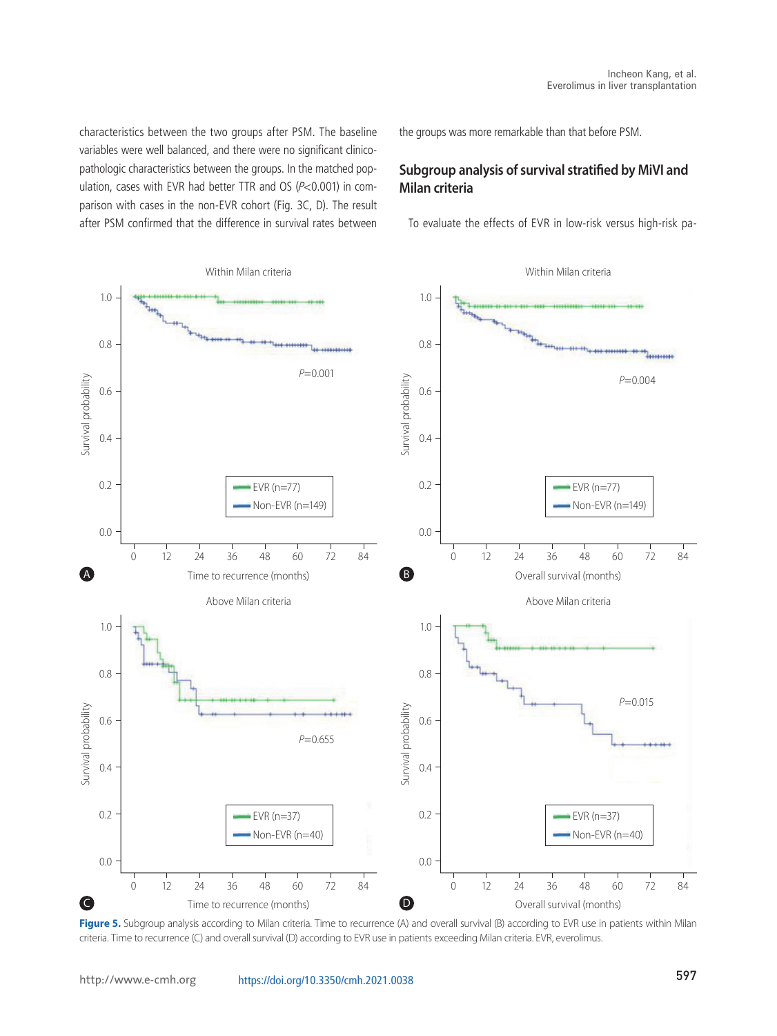characteristics between the two groups after PSM. The baseline variables were well balanced, and there were no significant clinicopathologic characteristics between the groups. In the matched population, cases with EVR had better TTR and OS (P<0.001) in comparison with cases in the non-EVR cohort (Fig. 3C, D). The result after PSM confirmed that the difference in survival rates between the groups was more remarkable than that before PSM.

# **Subgroup analysis of survival stratified by MiVI and Milan criteria**

To evaluate the effects of EVR in low-risk versus high-risk pa-



Figure 5. Subgroup analysis according to Milan criteria. Time to recurrence (A) and overall survival (B) according to EVR use in patients within Milan criteria. Time to recurrence (C) and overall survival (D) according to EVR use in patients exceeding Milan criteria. EVR, everolimus.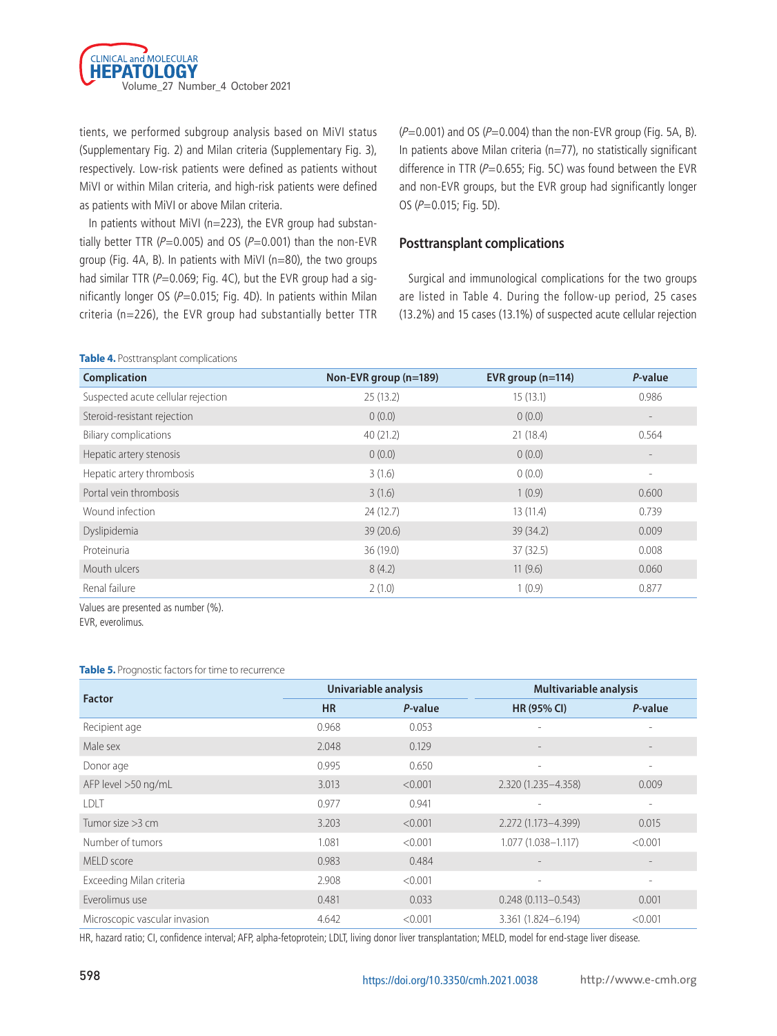

tients, we performed subgroup analysis based on MiVI status (Supplementary Fig. 2) and Milan criteria (Supplementary Fig. 3), respectively. Low-risk patients were defined as patients without MiVI or within Milan criteria, and high-risk patients were defined as patients with MiVI or above Milan criteria.

In patients without MiVI (n=223), the EVR group had substantially better TTR ( $P=0.005$ ) and OS ( $P=0.001$ ) than the non-EVR group (Fig. 4A, B). In patients with MiVI (n=80), the two groups had similar TTR ( $P=0.069$ ; Fig. 4C), but the EVR group had a significantly longer OS ( $P=0.015$ ; Fig. 4D). In patients within Milan criteria (n=226), the EVR group had substantially better TTR

 $(P=0.001)$  and OS ( $P=0.004$ ) than the non-EVR group (Fig. 5A, B). In patients above Milan criteria (n=77), no statistically significant difference in TTR ( $P=0.655$ ; Fig. 5C) was found between the EVR and non-EVR groups, but the EVR group had significantly longer OS (P=0.015; Fig. 5D).

#### **Posttransplant complications**

Surgical and immunological complications for the two groups are listed in Table 4. During the follow-up period, 25 cases (13.2%) and 15 cases (13.1%) of suspected acute cellular rejection

| Complication                       | Non-EVR group (n=189) | EVR group $(n=114)$ | P-value |
|------------------------------------|-----------------------|---------------------|---------|
| Suspected acute cellular rejection | 25(13.2)              | 15(13.1)            | 0.986   |
| Steroid-resistant rejection        | 0(0.0)                | 0(0.0)              |         |
| <b>Biliary complications</b>       | 40(21.2)              | 21(18.4)            | 0.564   |
| Hepatic artery stenosis            | 0(0.0)                | 0(0.0)              |         |
| Hepatic artery thrombosis          | 3(1.6)                | 0(0.0)              | ٠       |
| Portal vein thrombosis             | 3(1.6)                | 1(0.9)              | 0.600   |
| Wound infection                    | 24(12.7)              | 13(11.4)            | 0.739   |
| Dyslipidemia                       | 39(20.6)              | 39(34.2)            | 0.009   |
| Proteinuria                        | 36 (19.0)             | 37(32.5)            | 0.008   |
| Mouth ulcers                       | 8(4.2)                | 11(9.6)             | 0.060   |
| Renal failure                      | 2(1.0)                | 1(0.9)              | 0.877   |

Values are presented as number (%).

**Table 4.** Posttransplant complications

EVR, everolimus.

#### **Table 5.** Prognostic factors for time to recurrence

| <b>Factor</b>                 | Univariable analysis |         | Multivariable analysis   |                          |
|-------------------------------|----------------------|---------|--------------------------|--------------------------|
|                               | <b>HR</b>            | P-value | <b>HR (95% CI)</b>       | P-value                  |
| Recipient age                 | 0.968                | 0.053   |                          |                          |
| Male sex                      | 2.048                | 0.129   |                          |                          |
| Donor age                     | 0.995                | 0.650   | $\overline{\phantom{a}}$ | $\overline{\phantom{0}}$ |
| AFP level >50 ng/mL           | 3.013                | < 0.001 | 2.320 (1.235 - 4.358)    | 0.009                    |
| LDLT                          | 0.977                | 0.941   | $\overline{\phantom{0}}$ | $\overline{\phantom{0}}$ |
| Tumor size $>3$ cm            | 3.203                | < 0.001 | 2.272 (1.173-4.399)      | 0.015                    |
| Number of tumors              | 1.081                | < 0.001 | 1.077 (1.038-1.117)      | < 0.001                  |
| MFI D score                   | 0.983                | 0.484   |                          | $\qquad \qquad -$        |
| Exceeding Milan criteria      | 2.908                | < 0.001 | $\qquad \qquad -$        | $\overline{\phantom{0}}$ |
| Everolimus use                | 0.481                | 0.033   | $0.248(0.113 - 0.543)$   | 0.001                    |
| Microscopic vascular invasion | 4.642                | < 0.001 | 3.361 (1.824-6.194)      | < 0.001                  |

HR, hazard ratio; CI, confidence interval; AFP, alpha-fetoprotein; LDLT, living donor liver transplantation; MELD, model for end-stage liver disease.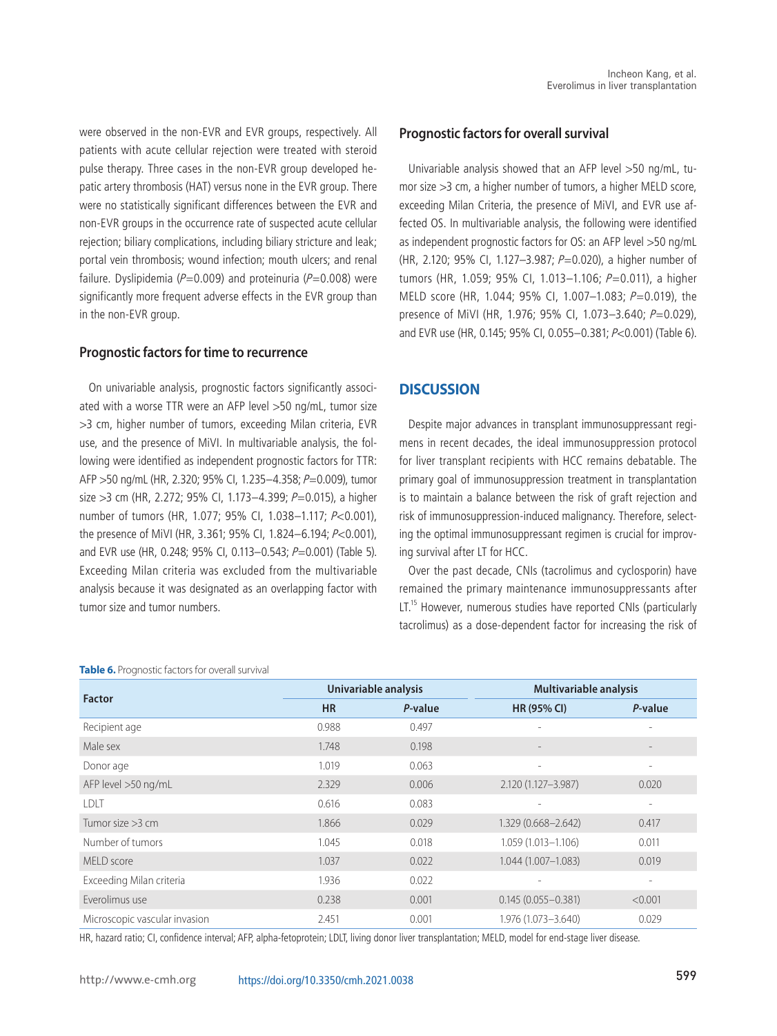were observed in the non-EVR and EVR groups, respectively. All patients with acute cellular rejection were treated with steroid pulse therapy. Three cases in the non-EVR group developed hepatic artery thrombosis (HAT) versus none in the EVR group. There were no statistically significant differences between the EVR and non-EVR groups in the occurrence rate of suspected acute cellular rejection; biliary complications, including biliary stricture and leak; portal vein thrombosis; wound infection; mouth ulcers; and renal failure. Dyslipidemia ( $P=0.009$ ) and proteinuria ( $P=0.008$ ) were significantly more frequent adverse effects in the EVR group than in the non-EVR group.

#### **Prognostic factors for time to recurrence**

On univariable analysis, prognostic factors significantly associated with a worse TTR were an AFP level >50 ng/mL, tumor size >3 cm, higher number of tumors, exceeding Milan criteria, EVR use, and the presence of MiVI. In multivariable analysis, the following were identified as independent prognostic factors for TTR: AFP >50 ng/mL (HR, 2.320; 95% CI, 1.235-4.358; P=0.009), tumor size  $>3$  cm (HR, 2.272; 95% CI, 1.173-4.399; P=0.015), a higher number of tumors (HR, 1.077; 95% CI, 1.038–1.117; P<0.001), the presence of MiVI (HR, 3.361; 95% CI, 1.824–6.194; P<0.001), and EVR use (HR, 0.248; 95% CI, 0.113-0.543; P=0.001) (Table 5). Exceeding Milan criteria was excluded from the multivariable analysis because it was designated as an overlapping factor with tumor size and tumor numbers.

#### **Table 6.** Prognostic factors for overall survival

#### **Prognostic factors for overall survival**

Univariable analysis showed that an AFP level >50 ng/mL, tumor size >3 cm, a higher number of tumors, a higher MELD score, exceeding Milan Criteria, the presence of MiVI, and EVR use affected OS. In multivariable analysis, the following were identified as independent prognostic factors for OS: an AFP level >50 ng/mL (HR, 2.120; 95% CI, 1.127-3.987;  $P=0.020$ ), a higher number of tumors (HR, 1.059; 95% CI, 1.013–1.106; P=0.011), a higher MELD score (HR, 1.044; 95% CI, 1.007–1.083; P=0.019), the presence of MiVI (HR, 1.976; 95% CI, 1.073-3.640; P=0.029), and EVR use (HR, 0.145; 95% CI, 0.055–0.381; P<0.001) (Table 6).

#### **DISCUSSION**

Despite major advances in transplant immunosuppressant regimens in recent decades, the ideal immunosuppression protocol for liver transplant recipients with HCC remains debatable. The primary goal of immunosuppression treatment in transplantation is to maintain a balance between the risk of graft rejection and risk of immunosuppression-induced malignancy. Therefore, selecting the optimal immunosuppressant regimen is crucial for improving survival after LT for HCC.

Over the past decade, CNIs (tacrolimus and cyclosporin) have remained the primary maintenance immunosuppressants after LT.<sup>15</sup> However, numerous studies have reported CNIs (particularly tacrolimus) as a dose-dependent factor for increasing the risk of

| <b>Factor</b>                 | Univariable analysis |         | <b>Multivariable analysis</b> |                          |
|-------------------------------|----------------------|---------|-------------------------------|--------------------------|
|                               | <b>HR</b>            | P-value | <b>HR (95% CI)</b>            | P-value                  |
| Recipient age                 | 0.988                | 0.497   |                               | $\overline{\phantom{0}}$ |
| Male sex                      | 1.748                | 0.198   |                               | $\qquad \qquad -$        |
| Donor age                     | 1.019                | 0.063   | $\equiv$                      | $\overline{\phantom{a}}$ |
| AFP level >50 ng/mL           | 2.329                | 0.006   | 2.120 (1.127-3.987)           | 0.020                    |
| LDLT                          | 0.616                | 0.083   |                               | $\overline{\phantom{a}}$ |
| Tumor size $>3$ cm            | 1.866                | 0.029   | 1.329 (0.668-2.642)           | 0.417                    |
| Number of tumors              | 1.045                | 0.018   | 1.059 (1.013-1.106)           | 0.011                    |
| MFI D score                   | 1.037                | 0.022   | 1.044 (1.007-1.083)           | 0.019                    |
| Exceeding Milan criteria      | 1.936                | 0.022   |                               | $\overline{\phantom{0}}$ |
| Everolimus use                | 0.238                | 0.001   | $0.145(0.055 - 0.381)$        | < 0.001                  |
| Microscopic vascular invasion | 2.451                | 0.001   | 1.976 (1.073-3.640)           | 0.029                    |

HR, hazard ratio; CI, confidence interval; AFP, alpha-fetoprotein; LDLT, living donor liver transplantation; MELD, model for end-stage liver disease.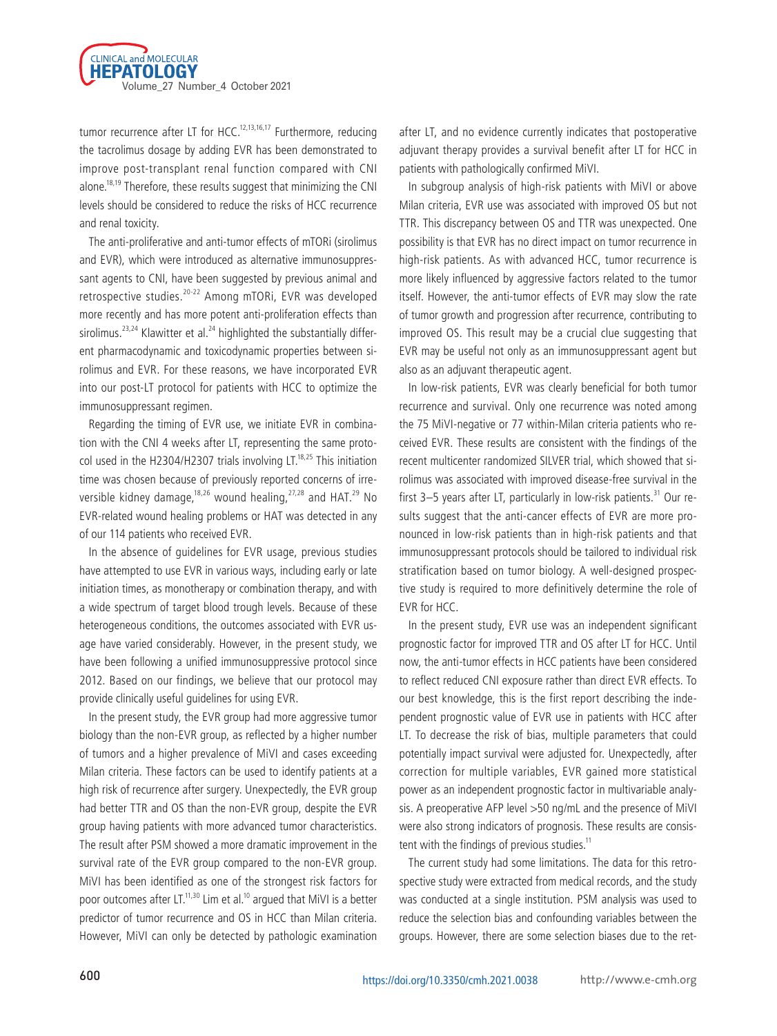

tumor recurrence after LT for HCC.<sup>12,13,16,17</sup> Furthermore, reducing the tacrolimus dosage by adding EVR has been demonstrated to improve post-transplant renal function compared with CNI alone.<sup>18,19</sup> Therefore, these results suggest that minimizing the CNI levels should be considered to reduce the risks of HCC recurrence and renal toxicity.

The anti-proliferative and anti-tumor effects of mTORi (sirolimus and EVR), which were introduced as alternative immunosuppressant agents to CNI, have been suggested by previous animal and retrospective studies.20-22 Among mTORi, EVR was developed more recently and has more potent anti-proliferation effects than sirolimus.<sup>23,24</sup> Klawitter et al.<sup>24</sup> highlighted the substantially different pharmacodynamic and toxicodynamic properties between sirolimus and EVR. For these reasons, we have incorporated EVR into our post-LT protocol for patients with HCC to optimize the immunosuppressant regimen.

Regarding the timing of EVR use, we initiate EVR in combination with the CNI 4 weeks after LT, representing the same protocol used in the H2304/H2307 trials involving LT. $18,25$  This initiation time was chosen because of previously reported concerns of irreversible kidney damage,<sup>18,26</sup> wound healing,<sup>27,28</sup> and HAT.<sup>29</sup> No EVR-related wound healing problems or HAT was detected in any of our 114 patients who received EVR.

In the absence of guidelines for EVR usage, previous studies have attempted to use EVR in various ways, including early or late initiation times, as monotherapy or combination therapy, and with a wide spectrum of target blood trough levels. Because of these heterogeneous conditions, the outcomes associated with EVR usage have varied considerably. However, in the present study, we have been following a unified immunosuppressive protocol since 2012. Based on our findings, we believe that our protocol may provide clinically useful guidelines for using EVR.

In the present study, the EVR group had more aggressive tumor biology than the non-EVR group, as reflected by a higher number of tumors and a higher prevalence of MiVI and cases exceeding Milan criteria. These factors can be used to identify patients at a high risk of recurrence after surgery. Unexpectedly, the EVR group had better TTR and OS than the non-EVR group, despite the EVR group having patients with more advanced tumor characteristics. The result after PSM showed a more dramatic improvement in the survival rate of the EVR group compared to the non-EVR group. MiVI has been identified as one of the strongest risk factors for poor outcomes after LT. $^{11,30}$  Lim et al. $^{10}$  argued that MiVI is a better predictor of tumor recurrence and OS in HCC than Milan criteria. However, MiVI can only be detected by pathologic examination

after LT, and no evidence currently indicates that postoperative adjuvant therapy provides a survival benefit after LT for HCC in patients with pathologically confirmed MiVI.

In subgroup analysis of high-risk patients with MiVI or above Milan criteria, EVR use was associated with improved OS but not TTR. This discrepancy between OS and TTR was unexpected. One possibility is that EVR has no direct impact on tumor recurrence in high-risk patients. As with advanced HCC, tumor recurrence is more likely influenced by aggressive factors related to the tumor itself. However, the anti-tumor effects of EVR may slow the rate of tumor growth and progression after recurrence, contributing to improved OS. This result may be a crucial clue suggesting that EVR may be useful not only as an immunosuppressant agent but also as an adjuvant therapeutic agent.

In low-risk patients, EVR was clearly beneficial for both tumor recurrence and survival. Only one recurrence was noted among the 75 MiVI-negative or 77 within-Milan criteria patients who received EVR. These results are consistent with the findings of the recent multicenter randomized SILVER trial, which showed that sirolimus was associated with improved disease-free survival in the first  $3-5$  years after LT, particularly in low-risk patients.<sup>31</sup> Our results suggest that the anti-cancer effects of EVR are more pronounced in low-risk patients than in high-risk patients and that immunosuppressant protocols should be tailored to individual risk stratification based on tumor biology. A well-designed prospective study is required to more definitively determine the role of EVR for HCC.

In the present study, EVR use was an independent significant prognostic factor for improved TTR and OS after LT for HCC. Until now, the anti-tumor effects in HCC patients have been considered to reflect reduced CNI exposure rather than direct EVR effects. To our best knowledge, this is the first report describing the independent prognostic value of EVR use in patients with HCC after LT. To decrease the risk of bias, multiple parameters that could potentially impact survival were adjusted for. Unexpectedly, after correction for multiple variables, EVR gained more statistical power as an independent prognostic factor in multivariable analysis. A preoperative AFP level >50 ng/mL and the presence of MiVI were also strong indicators of prognosis. These results are consistent with the findings of previous studies. $11$ 

The current study had some limitations. The data for this retrospective study were extracted from medical records, and the study was conducted at a single institution. PSM analysis was used to reduce the selection bias and confounding variables between the groups. However, there are some selection biases due to the ret-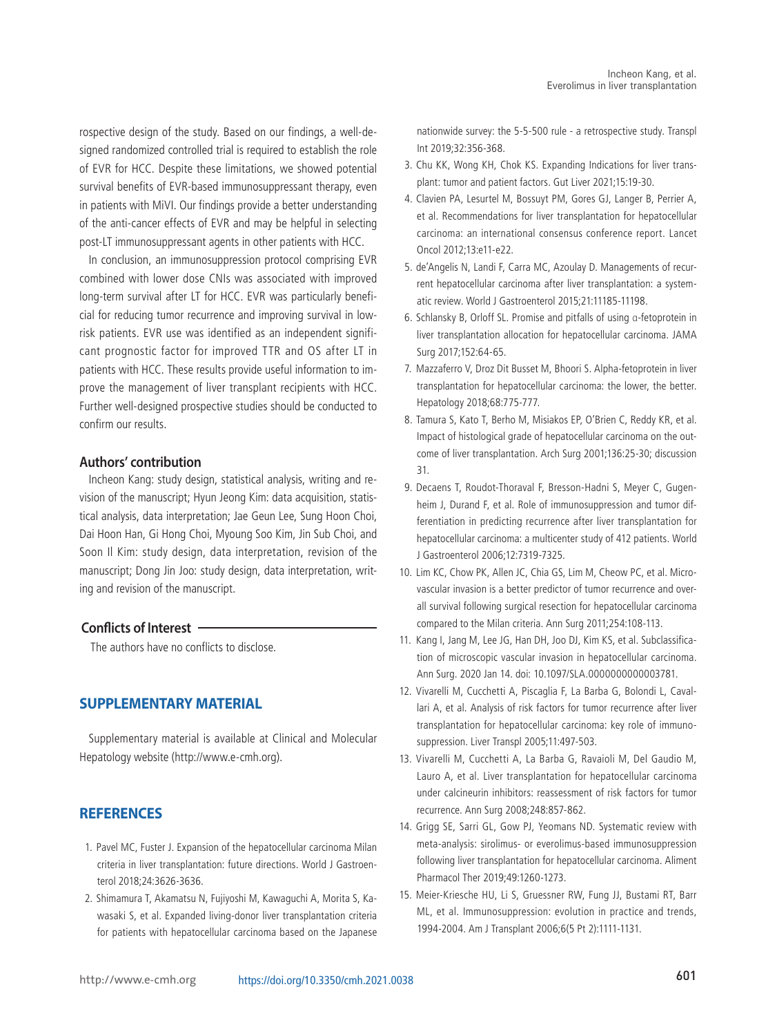rospective design of the study. Based on our findings, a well-designed randomized controlled trial is required to establish the role of EVR for HCC. Despite these limitations, we showed potential survival benefits of EVR-based immunosuppressant therapy, even in patients with MiVI. Our findings provide a better understanding of the anti-cancer effects of EVR and may be helpful in selecting post-LT immunosuppressant agents in other patients with HCC.

In conclusion, an immunosuppression protocol comprising EVR combined with lower dose CNIs was associated with improved long-term survival after LT for HCC. EVR was particularly beneficial for reducing tumor recurrence and improving survival in lowrisk patients. EVR use was identified as an independent significant prognostic factor for improved TTR and OS after LT in patients with HCC. These results provide useful information to improve the management of liver transplant recipients with HCC. Further well-designed prospective studies should be conducted to confirm our results.

#### **Authors' contribution**

Incheon Kang: study design, statistical analysis, writing and revision of the manuscript; Hyun Jeong Kim: data acquisition, statistical analysis, data interpretation; Jae Geun Lee, Sung Hoon Choi, Dai Hoon Han, Gi Hong Choi, Myoung Soo Kim, Jin Sub Choi, and Soon Il Kim: study design, data interpretation, revision of the manuscript; Dong Jin Joo: study design, data interpretation, writing and revision of the manuscript.

#### **Conflicts of Interest**

The authors have no conflicts to disclose.

#### **SUPPLEMENTARY MATERIAL**

Supplementary material is available at Clinical and Molecular Hepatology website (http://www.e-cmh.org).

#### **REFERENCES**

- 1. Pavel MC, Fuster J. Expansion of the hepatocellular carcinoma Milan criteria in liver transplantation: future directions. World J Gastroenterol 2018;24:3626-3636.
- 2. Shimamura T, Akamatsu N, Fujiyoshi M, Kawaguchi A, Morita S, Kawasaki S, et al. Expanded living-donor liver transplantation criteria for patients with hepatocellular carcinoma based on the Japanese

nationwide survey: the 5-5-500 rule - a retrospective study. Transpl Int 2019;32:356-368.

- 3. Chu KK, Wong KH, Chok KS. Expanding Indications for liver transplant: tumor and patient factors. Gut Liver 2021;15:19-30.
- 4. Clavien PA, Lesurtel M, Bossuyt PM, Gores GJ, Langer B, Perrier A, et al. Recommendations for liver transplantation for hepatocellular carcinoma: an international consensus conference report. Lancet Oncol 2012;13:e11-e22.
- 5. de'Angelis N, Landi F, Carra MC, Azoulay D. Managements of recurrent hepatocellular carcinoma after liver transplantation: a systematic review. World J Gastroenterol 2015;21:11185-11198.
- 6. Schlansky B, Orloff SL. Promise and pitfalls of using α-fetoprotein in liver transplantation allocation for hepatocellular carcinoma. JAMA Surg 2017;152:64-65.
- 7. Mazzaferro V, Droz Dit Busset M, Bhoori S. Alpha-fetoprotein in liver transplantation for hepatocellular carcinoma: the lower, the better. Hepatology 2018;68:775-777.
- 8. Tamura S, Kato T, Berho M, Misiakos EP, O'Brien C, Reddy KR, et al. Impact of histological grade of hepatocellular carcinoma on the outcome of liver transplantation. Arch Surg 2001;136:25-30; discussion 31.
- 9. Decaens T, Roudot-Thoraval F, Bresson-Hadni S, Meyer C, Gugenheim J, Durand F, et al. Role of immunosuppression and tumor differentiation in predicting recurrence after liver transplantation for hepatocellular carcinoma: a multicenter study of 412 patients. World J Gastroenterol 2006;12:7319-7325.
- 10. Lim KC, Chow PK, Allen JC, Chia GS, Lim M, Cheow PC, et al. Microvascular invasion is a better predictor of tumor recurrence and overall survival following surgical resection for hepatocellular carcinoma compared to the Milan criteria. Ann Surg 2011;254:108-113.
- 11. Kang I, Jang M, Lee JG, Han DH, Joo DJ, Kim KS, et al. Subclassification of microscopic vascular invasion in hepatocellular carcinoma. Ann Surg. 2020 Jan 14. doi: 10.1097/SLA.0000000000003781.
- 12. Vivarelli M, Cucchetti A, Piscaglia F, La Barba G, Bolondi L, Cavallari A, et al. Analysis of risk factors for tumor recurrence after liver transplantation for hepatocellular carcinoma: key role of immunosuppression. Liver Transpl 2005;11:497-503.
- 13. Vivarelli M, Cucchetti A, La Barba G, Ravaioli M, Del Gaudio M, Lauro A, et al. Liver transplantation for hepatocellular carcinoma under calcineurin inhibitors: reassessment of risk factors for tumor recurrence. Ann Surg 2008;248:857-862.
- 14. Grigg SE, Sarri GL, Gow PJ, Yeomans ND. Systematic review with meta-analysis: sirolimus- or everolimus-based immunosuppression following liver transplantation for hepatocellular carcinoma. Aliment Pharmacol Ther 2019;49:1260-1273.
- 15. Meier-Kriesche HU, Li S, Gruessner RW, Fung JJ, Bustami RT, Barr ML, et al. Immunosuppression: evolution in practice and trends, 1994-2004. Am J Transplant 2006;6(5 Pt 2):1111-1131.